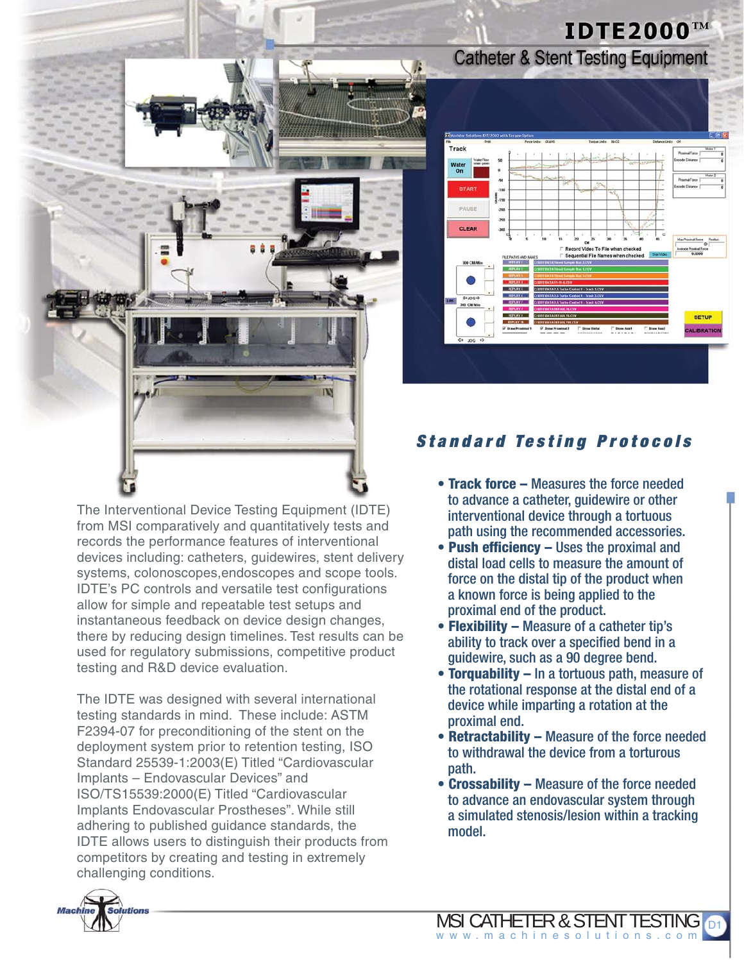

The Interventional Device Testing Equipment (IDTE) from MSI comparatively and quantitatively tests and records the performance features of interventional devices including: catheters, guidewires, stent delivery systems, colonoscopes,endoscopes and scope tools. IDTE's PC controls and versatile test configurations allow for simple and repeatable test setups and instantaneous feedback on device design changes, there by reducing design timelines. Test results can be used for regulatory submissions, competitive product testing and R&D device evaluation.

The IDTE was designed with several international testing standards in mind. These include: ASTM F2394-07 for preconditioning of the stent on the deployment system prior to retention testing, ISO Standard 25539-1:2003(E) Titled "Cardiovascular Implants – Endovascular Devices" and ISO/TS15539:2000(E) Titled "Cardiovascular Implants Endovascular Prostheses". While still adhering to published guidance standards, the IDTE allows users to distinguish their products from competitors by creating and testing in extremely challenging conditions.



**Catheter & Stent Testing Equipment** 

**IDTE2000™** 

## *Standard Testing Protocols*

- **Track force** Measures the force needed to advance a catheter, guidewire or other interventional device through a tortuous path using the recommended accessories.
- **Push efficiency** Uses the proximal and distal load cells to measure the amount of force on the distal tip of the product when a known force is being applied to the proximal end of the product.
- **Flexibility** Measure of a catheter tip's ability to track over a specified bend in a guidewire, such as a 90 degree bend.
- **Torquability** In a tortuous path, measure of the rotational response at the distal end of a device while imparting a rotation at the proximal end.
- **Retractability** Measure of the force needed to withdrawal the device from a torturous path.
- **Crossability** Measure of the force needed to advance an endovascular system through a simulated stenosis/lesion within a tracking model.